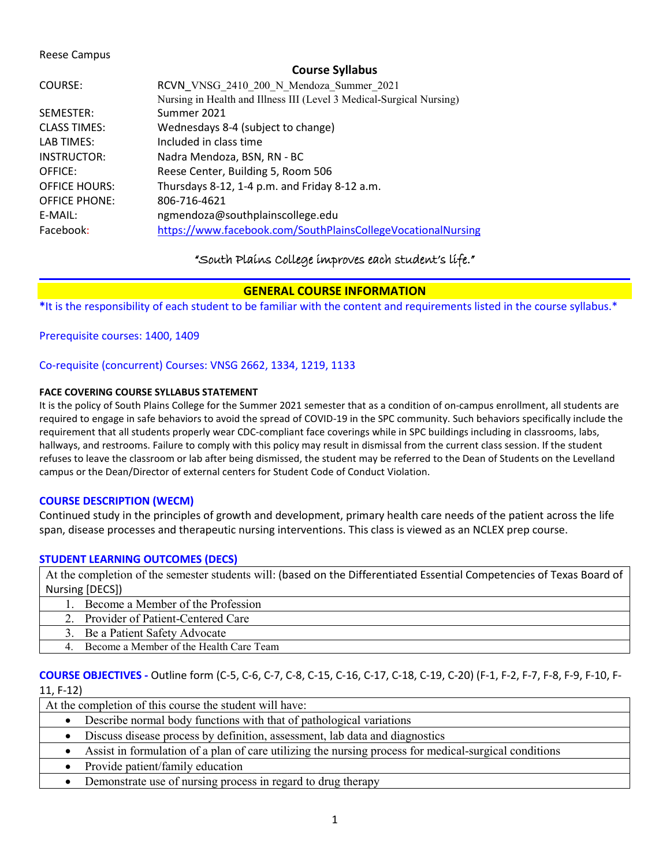### Reese Campus

# **Course Syllabus** COURSE: RCVN\_VNSG\_2410\_200\_N\_Mendoza\_Summer\_2021 Nursing in Health and Illness III (Level 3 Medical-Surgical Nursing) SEMESTER: Summer 2021 CLASS TIMES: Wednesdays 8-4 (subject to change) LAB TIMES: Included in class time INSTRUCTOR: Nadra Mendoza, BSN, RN - BC OFFICE: Reese Center, Building 5, Room 506 OFFICE HOURS: Thursdays 8-12, 1-4 p.m. and Friday 8-12 a.m. OFFICE PHONE: 806-716-4621 E-MAIL: ngmendoza@southplainscollege.edu Facebook: <https://www.facebook.com/SouthPlainsCollegeVocationalNursing>

# "South Plains College improves each student's life."

# **GENERAL COURSE INFORMATION**

**\***It is the responsibility of each student to be familiar with the content and requirements listed in the course syllabus.\*

## Prerequisite courses: 1400, 1409

## Co-requisite (concurrent) Courses: VNSG 2662, 1334, 1219, 1133

## **FACE COVERING COURSE SYLLABUS STATEMENT**

It is the policy of South Plains College for the Summer 2021 semester that as a condition of on-campus enrollment, all students are required to engage in safe behaviors to avoid the spread of COVID-19 in the SPC community. Such behaviors specifically include the requirement that all students properly wear CDC-compliant face coverings while in SPC buildings including in classrooms, labs, hallways, and restrooms. Failure to comply with this policy may result in dismissal from the current class session. If the student refuses to leave the classroom or lab after being dismissed, the student may be referred to the Dean of Students on the Levelland campus or the Dean/Director of external centers for Student Code of Conduct Violation.

## **COURSE DESCRIPTION (WECM)**

Continued study in the principles of growth and development, primary health care needs of the patient across the life span, disease processes and therapeutic nursing interventions. This class is viewed as an NCLEX prep course.

## **STUDENT LEARNING OUTCOMES (DECS)**

At the completion of the semester students will: (based on the Differentiated Essential Competencies of Texas Board of Nursing [DECS])

1. Become a Member of the Profession 2. Provider of Patient-Centered Care 3. Be a Patient Safety Advocate 4. Become a Member of the Health Care Team

# **COURSE OBJECTIVES -** Outline form (C-5, C-6, C-7, C-8, C-15, C-16, C-17, C-18, C-19, C-20) (F-1, F-2, F-7, F-8, F-9, F-10, F-11, F-12)

| At the completion of this course the student will have:                                               |  |
|-------------------------------------------------------------------------------------------------------|--|
| • Describe normal body functions with that of pathological variations                                 |  |
| • Discuss disease process by definition, assessment, lab data and diagnostics                         |  |
| Assist in formulation of a plan of care utilizing the nursing process for medical-surgical conditions |  |
|                                                                                                       |  |

- Provide patient/family education
- Demonstrate use of nursing process in regard to drug therapy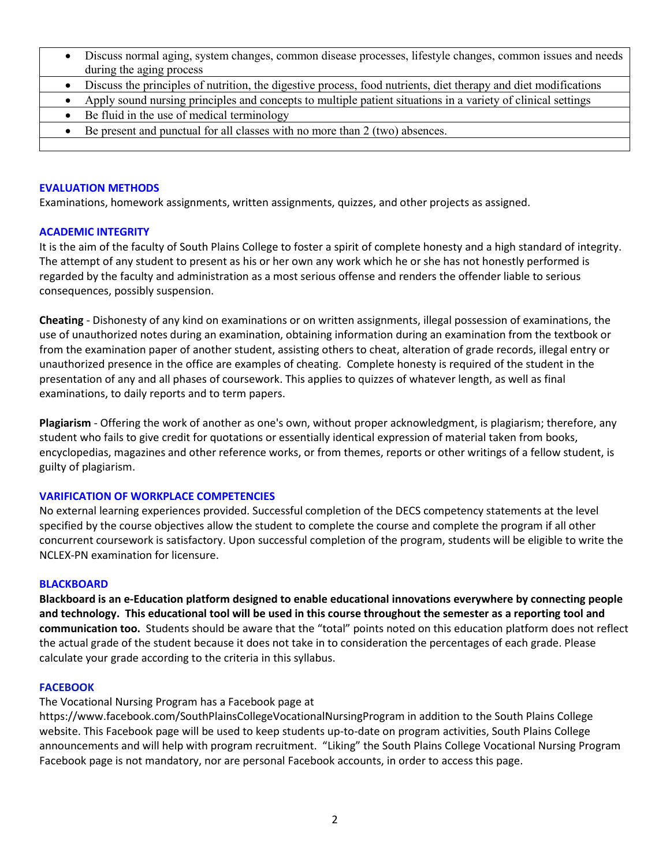- Discuss normal aging, system changes, common disease processes, lifestyle changes, common issues and needs during the aging process
- Discuss the principles of nutrition, the digestive process, food nutrients, diet therapy and diet modifications
- Apply sound nursing principles and concepts to multiple patient situations in a variety of clinical settings
- Be fluid in the use of medical terminology
- Be present and punctual for all classes with no more than 2 (two) absences.

# **EVALUATION METHODS**

Examinations, homework assignments, written assignments, quizzes, and other projects as assigned.

# **ACADEMIC INTEGRITY**

It is the aim of the faculty of South Plains College to foster a spirit of complete honesty and a high standard of integrity. The attempt of any student to present as his or her own any work which he or she has not honestly performed is regarded by the faculty and administration as a most serious offense and renders the offender liable to serious consequences, possibly suspension.

**Cheating** - Dishonesty of any kind on examinations or on written assignments, illegal possession of examinations, the use of unauthorized notes during an examination, obtaining information during an examination from the textbook or from the examination paper of another student, assisting others to cheat, alteration of grade records, illegal entry or unauthorized presence in the office are examples of cheating. Complete honesty is required of the student in the presentation of any and all phases of coursework. This applies to quizzes of whatever length, as well as final examinations, to daily reports and to term papers.

**Plagiarism** - Offering the work of another as one's own, without proper acknowledgment, is plagiarism; therefore, any student who fails to give credit for quotations or essentially identical expression of material taken from books, encyclopedias, magazines and other reference works, or from themes, reports or other writings of a fellow student, is guilty of plagiarism.

# **VARIFICATION OF WORKPLACE COMPETENCIES**

No external learning experiences provided. Successful completion of the DECS competency statements at the level specified by the course objectives allow the student to complete the course and complete the program if all other concurrent coursework is satisfactory. Upon successful completion of the program, students will be eligible to write the NCLEX-PN examination for licensure.

## **BLACKBOARD**

**Blackboard is an e-Education platform designed to enable educational innovations everywhere by connecting people and technology. This educational tool will be used in this course throughout the semester as a reporting tool and communication too.** Students should be aware that the "total" points noted on this education platform does not reflect the actual grade of the student because it does not take in to consideration the percentages of each grade. Please calculate your grade according to the criteria in this syllabus.

## **FACEBOOK**

# The Vocational Nursing Program has a Facebook page at

https://www.facebook.com/SouthPlainsCollegeVocationalNursingProgram in addition to the South Plains College website. This Facebook page will be used to keep students up-to-date on program activities, South Plains College announcements and will help with program recruitment. "Liking" the South Plains College Vocational Nursing Program Facebook page is not mandatory, nor are personal Facebook accounts, in order to access this page.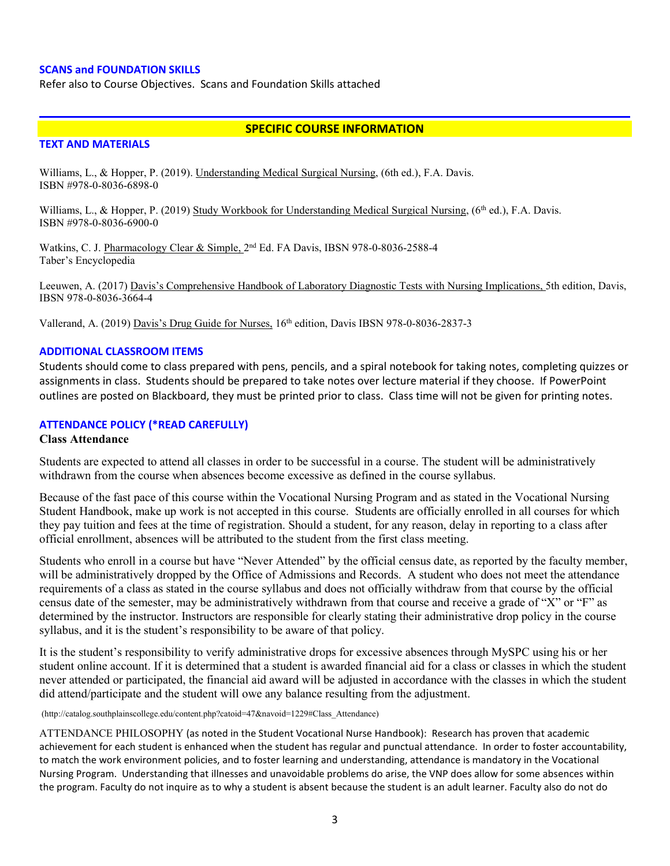#### **SCANS and FOUNDATION SKILLS**

Refer also to Course Objectives. Scans and Foundation Skills attached

## **SPECIFIC COURSE INFORMATION**

#### **TEXT AND MATERIALS**

Williams, L., & Hopper, P. (2019). Understanding Medical Surgical Nursing, (6th ed.), F.A. Davis. ISBN #978-0-8036-6898-0

Williams, L., & Hopper, P. (2019) Study Workbook for Understanding Medical Surgical Nursing, (6<sup>th</sup> ed.), F.A. Davis. ISBN #978-0-8036-6900-0

Watkins, C. J. Pharmacology Clear & Simple, 2<sup>nd</sup> Ed. FA Davis, IBSN 978-0-8036-2588-4 Taber's Encyclopedia

Leeuwen, A. (2017) Davis's Comprehensive Handbook of Laboratory Diagnostic Tests with Nursing Implications, 5th edition, Davis, IBSN 978-0-8036-3664-4

Vallerand, A. (2019) Davis's Drug Guide for Nurses, 16th edition, Davis IBSN 978-0-8036-2837-3

#### **ADDITIONAL CLASSROOM ITEMS**

Students should come to class prepared with pens, pencils, and a spiral notebook for taking notes, completing quizzes or assignments in class. Students should be prepared to take notes over lecture material if they choose. If PowerPoint outlines are posted on Blackboard, they must be printed prior to class. Class time will not be given for printing notes.

## **ATTENDANCE POLICY (\*READ CAREFULLY)**

## **Class Attendance**

Students are expected to attend all classes in order to be successful in a course. The student will be administratively withdrawn from the course when absences become excessive as defined in the course syllabus.

Because of the fast pace of this course within the Vocational Nursing Program and as stated in the Vocational Nursing Student Handbook, make up work is not accepted in this course. Students are officially enrolled in all courses for which they pay tuition and fees at the time of registration. Should a student, for any reason, delay in reporting to a class after official enrollment, absences will be attributed to the student from the first class meeting.

Students who enroll in a course but have "Never Attended" by the official census date, as reported by the faculty member, will be administratively dropped by the Office of Admissions and Records. A student who does not meet the attendance requirements of a class as stated in the course syllabus and does not officially withdraw from that course by the official census date of the semester, may be administratively withdrawn from that course and receive a grade of "X" or "F" as determined by the instructor. Instructors are responsible for clearly stating their administrative drop policy in the course syllabus, and it is the student's responsibility to be aware of that policy.

It is the student's responsibility to verify administrative drops for excessive absences through MySPC using his or her student online account. If it is determined that a student is awarded financial aid for a class or classes in which the student never attended or participated, the financial aid award will be adjusted in accordance with the classes in which the student did attend/participate and the student will owe any balance resulting from the adjustment.

(http://catalog.southplainscollege.edu/content.php?catoid=47&navoid=1229#Class\_Attendance)

ATTENDANCE PHILOSOPHY (as noted in the Student Vocational Nurse Handbook): Research has proven that academic achievement for each student is enhanced when the student has regular and punctual attendance. In order to foster accountability, to match the work environment policies, and to foster learning and understanding, attendance is mandatory in the Vocational Nursing Program. Understanding that illnesses and unavoidable problems do arise, the VNP does allow for some absences within the program. Faculty do not inquire as to why a student is absent because the student is an adult learner. Faculty also do not do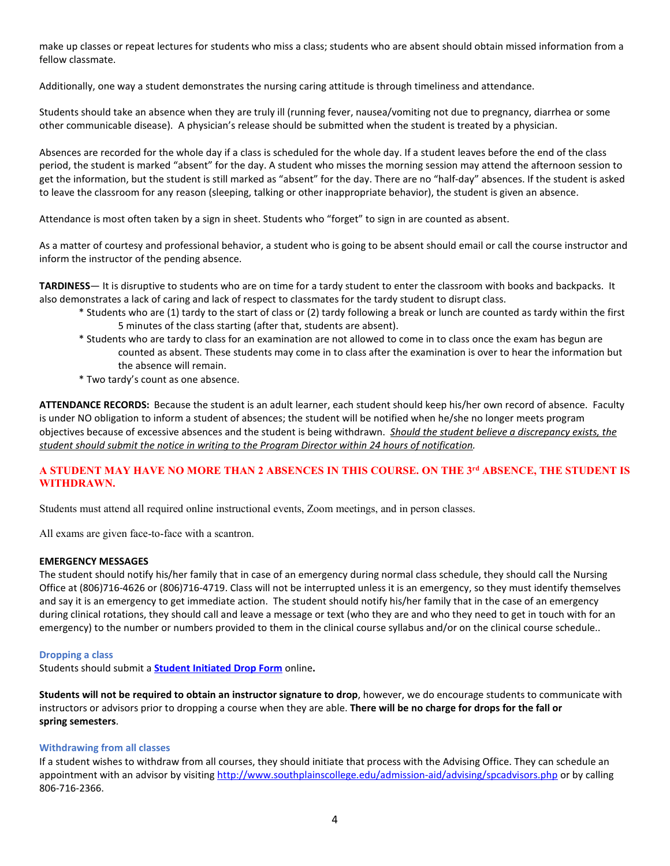make up classes or repeat lectures for students who miss a class; students who are absent should obtain missed information from a fellow classmate.

Additionally, one way a student demonstrates the nursing caring attitude is through timeliness and attendance.

Students should take an absence when they are truly ill (running fever, nausea/vomiting not due to pregnancy, diarrhea or some other communicable disease). A physician's release should be submitted when the student is treated by a physician.

Absences are recorded for the whole day if a class is scheduled for the whole day. If a student leaves before the end of the class period, the student is marked "absent" for the day. A student who misses the morning session may attend the afternoon session to get the information, but the student is still marked as "absent" for the day. There are no "half-day" absences. If the student is asked to leave the classroom for any reason (sleeping, talking or other inappropriate behavior), the student is given an absence.

Attendance is most often taken by a sign in sheet. Students who "forget" to sign in are counted as absent.

As a matter of courtesy and professional behavior, a student who is going to be absent should email or call the course instructor and inform the instructor of the pending absence.

**TARDINESS**— It is disruptive to students who are on time for a tardy student to enter the classroom with books and backpacks. It also demonstrates a lack of caring and lack of respect to classmates for the tardy student to disrupt class.

- \* Students who are (1) tardy to the start of class or (2) tardy following a break or lunch are counted as tardy within the first 5 minutes of the class starting (after that, students are absent).
- \* Students who are tardy to class for an examination are not allowed to come in to class once the exam has begun are counted as absent. These students may come in to class after the examination is over to hear the information but the absence will remain.
- \* Two tardy's count as one absence.

**ATTENDANCE RECORDS:** Because the student is an adult learner, each student should keep his/her own record of absence. Faculty is under NO obligation to inform a student of absences; the student will be notified when he/she no longer meets program objectives because of excessive absences and the student is being withdrawn. *Should the student believe a discrepancy exists, the student should submit the notice in writing to the Program Director within 24 hours of notification.*

## **A STUDENT MAY HAVE NO MORE THAN 2 ABSENCES IN THIS COURSE. ON THE 3rd ABSENCE, THE STUDENT IS WITHDRAWN.**

Students must attend all required online instructional events, Zoom meetings, and in person classes.

All exams are given face-to-face with a scantron.

#### **EMERGENCY MESSAGES**

The student should notify his/her family that in case of an emergency during normal class schedule, they should call the Nursing Office at (806)716-4626 or (806)716-4719. Class will not be interrupted unless it is an emergency, so they must identify themselves and say it is an emergency to get immediate action. The student should notify his/her family that in the case of an emergency during clinical rotations, they should call and leave a message or text (who they are and who they need to get in touch with for an emergency) to the number or numbers provided to them in the clinical course syllabus and/or on the clinical course schedule..

#### **Dropping a class**

Students should submit a **Student [Initiated](https://forms.office.com/Pages/ResponsePage.aspx?id=ZrGRbWrP6UWeIqAmJdCCqRkmPIpp6AVCixFJfcqITt9UODExTUFXS0JOODhJOTlYM0NEV1kzRk9GMS4u) Drop Form** online**.**

**Students will not be required to obtain an instructor signature to drop**, however, we do encourage students to communicate with instructors or advisors prior to dropping a course when they are able. **There will be no charge for drops for the fall or spring semesters**.

#### **Withdrawing from all classes**

If a student wishes to withdraw from all courses, they should initiate that process with the Advising Office. They can schedule an appointment with an advisor by visiting <http://www.southplainscollege.edu/admission-aid/advising/spcadvisors.php> or by calling 806-716-2366.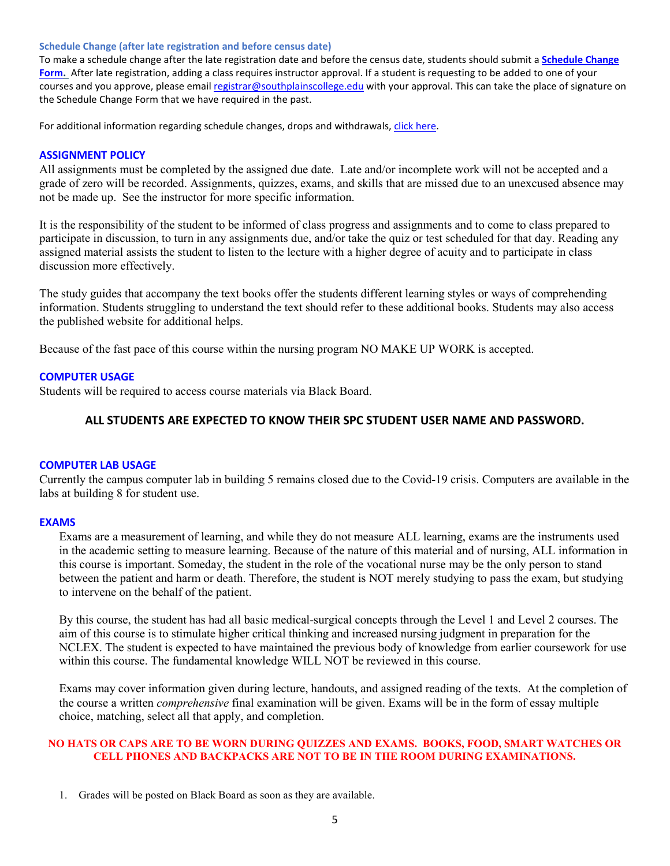#### **Schedule Change (after late registration and before census date)**

To make a schedule change after the late registration date and before the census date, students should submit a **[Schedule](https://forms.office.com/Pages/ResponsePage.aspx?id=ZrGRbWrP6UWeIqAmJdCCqRkmPIpp6AVCixFJfcqITt9UODIyTkRZSkFHVDNSVFRFV0g0T0tVWVAwRi4u) Change [Form.](https://forms.office.com/Pages/ResponsePage.aspx?id=ZrGRbWrP6UWeIqAmJdCCqRkmPIpp6AVCixFJfcqITt9UODIyTkRZSkFHVDNSVFRFV0g0T0tVWVAwRi4u)** After late registration, adding a class requires instructor approval. If a student is requesting to be added to one of your courses and you approve, please email [registrar@southplainscollege.edu](mailto:registrar@southplainscollege.edu) with your approval. This can take the place of signature on the Schedule Change Form that we have required in the past.

For additional information regarding schedule changes, drops and withdrawals, click [here.](http://www.southplainscollege.edu/admission-aid/apply/schedulechanges.php)

#### **ASSIGNMENT POLICY**

All assignments must be completed by the assigned due date. Late and/or incomplete work will not be accepted and a grade of zero will be recorded. Assignments, quizzes, exams, and skills that are missed due to an unexcused absence may not be made up. See the instructor for more specific information.

It is the responsibility of the student to be informed of class progress and assignments and to come to class prepared to participate in discussion, to turn in any assignments due, and/or take the quiz or test scheduled for that day. Reading any assigned material assists the student to listen to the lecture with a higher degree of acuity and to participate in class discussion more effectively.

The study guides that accompany the text books offer the students different learning styles or ways of comprehending information. Students struggling to understand the text should refer to these additional books. Students may also access the published website for additional helps.

Because of the fast pace of this course within the nursing program NO MAKE UP WORK is accepted.

#### **COMPUTER USAGE**

Students will be required to access course materials via Black Board.

## **ALL STUDENTS ARE EXPECTED TO KNOW THEIR SPC STUDENT USER NAME AND PASSWORD.**

#### **COMPUTER LAB USAGE**

Currently the campus computer lab in building 5 remains closed due to the Covid-19 crisis. Computers are available in the labs at building 8 for student use.

#### **EXAMS**

Exams are a measurement of learning, and while they do not measure ALL learning, exams are the instruments used in the academic setting to measure learning. Because of the nature of this material and of nursing, ALL information in this course is important. Someday, the student in the role of the vocational nurse may be the only person to stand between the patient and harm or death. Therefore, the student is NOT merely studying to pass the exam, but studying to intervene on the behalf of the patient.

By this course, the student has had all basic medical-surgical concepts through the Level 1 and Level 2 courses. The aim of this course is to stimulate higher critical thinking and increased nursing judgment in preparation for the NCLEX. The student is expected to have maintained the previous body of knowledge from earlier coursework for use within this course. The fundamental knowledge WILL NOT be reviewed in this course.

Exams may cover information given during lecture, handouts, and assigned reading of the texts. At the completion of the course a written *comprehensive* final examination will be given. Exams will be in the form of essay multiple choice, matching, select all that apply, and completion.

## **NO HATS OR CAPS ARE TO BE WORN DURING QUIZZES AND EXAMS. BOOKS, FOOD, SMART WATCHES OR CELL PHONES AND BACKPACKS ARE NOT TO BE IN THE ROOM DURING EXAMINATIONS.**

1. Grades will be posted on Black Board as soon as they are available.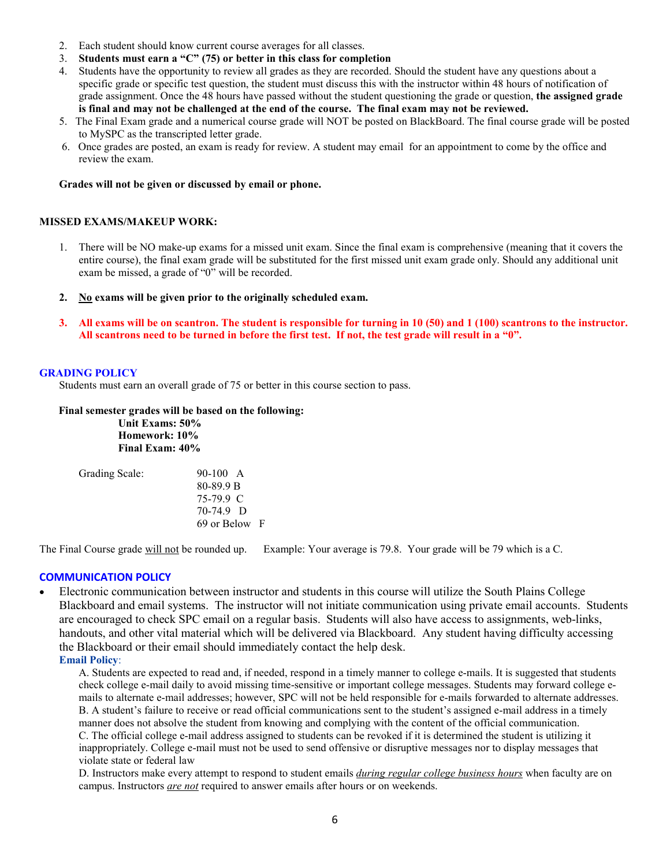- 2. Each student should know current course averages for all classes.
- 3. **Students must earn a "C" (75) or better in this class for completion**
- 4. Students have the opportunity to review all grades as they are recorded. Should the student have any questions about a specific grade or specific test question, the student must discuss this with the instructor within 48 hours of notification of grade assignment. Once the 48 hours have passed without the student questioning the grade or question, **the assigned grade is final and may not be challenged at the end of the course. The final exam may not be reviewed.**
- 5. The Final Exam grade and a numerical course grade will NOT be posted on BlackBoard. The final course grade will be posted to MySPC as the transcripted letter grade.
- 6. Once grades are posted, an exam is ready for review. A student may email for an appointment to come by the office and review the exam.

#### **Grades will not be given or discussed by email or phone.**

#### **MISSED EXAMS/MAKEUP WORK:**

- 1. There will be NO make-up exams for a missed unit exam. Since the final exam is comprehensive (meaning that it covers the entire course), the final exam grade will be substituted for the first missed unit exam grade only. Should any additional unit exam be missed, a grade of "0" will be recorded.
- **2. No exams will be given prior to the originally scheduled exam.**
- **3. All exams will be on scantron. The student is responsible for turning in 10 (50) and 1 (100) scantrons to the instructor. All scantrons need to be turned in before the first test. If not, the test grade will result in a "0".**

## **GRADING POLICY**

Students must earn an overall grade of 75 or better in this course section to pass.

#### **Final semester grades will be based on the following:**

**Unit Exams: 50% Homework: 10% Final Exam: 40%**

| $90-100$ A    |
|---------------|
| 80-89.9 B     |
| 75-79.9 C     |
| $70-74.9$ D   |
| 69 or Below F |
|               |

The Final Course grade will not be rounded up. Example: Your average is 79.8. Your grade will be 79 which is a C.

## **COMMUNICATION POLICY**

• Electronic communication between instructor and students in this course will utilize the South Plains College Blackboard and email systems. The instructor will not initiate communication using private email accounts. Students are encouraged to check SPC email on a regular basis. Students will also have access to assignments, web-links, handouts, and other vital material which will be delivered via Blackboard. Any student having difficulty accessing the Blackboard or their email should immediately contact the help desk. **Email Policy**:

A. Students are expected to read and, if needed, respond in a timely manner to college e-mails. It is suggested that students check college e-mail daily to avoid missing time-sensitive or important college messages. Students may forward college emails to alternate e-mail addresses; however, SPC will not be held responsible for e-mails forwarded to alternate addresses. B. A student's failure to receive or read official communications sent to the student's assigned e-mail address in a timely manner does not absolve the student from knowing and complying with the content of the official communication. C. The official college e-mail address assigned to students can be revoked if it is determined the student is utilizing it inappropriately. College e-mail must not be used to send offensive or disruptive messages nor to display messages that violate state or federal law

D. Instructors make every attempt to respond to student emails *during regular college business hours* when faculty are on campus. Instructors *are not* required to answer emails after hours or on weekends.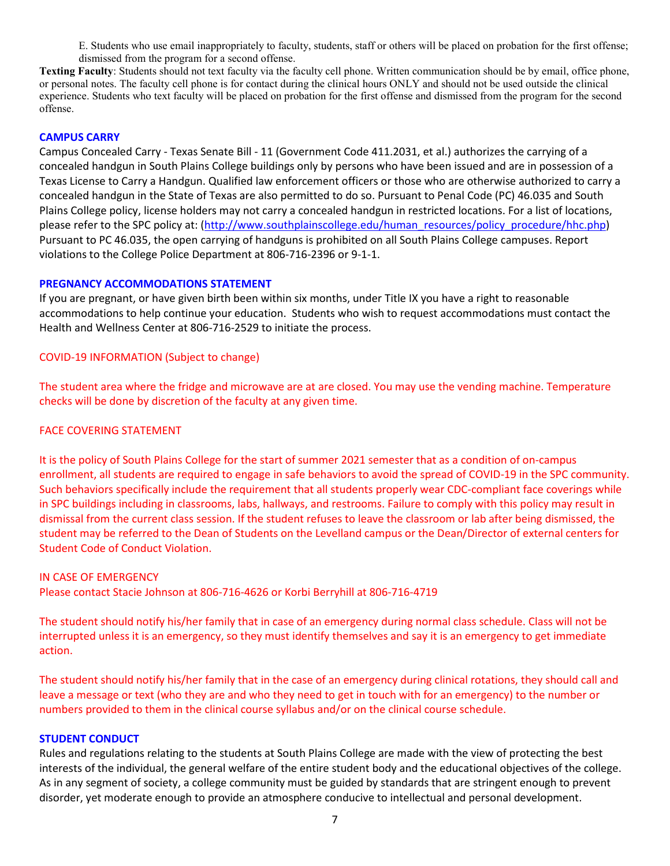E. Students who use email inappropriately to faculty, students, staff or others will be placed on probation for the first offense; dismissed from the program for a second offense.

**Texting Faculty**: Students should not text faculty via the faculty cell phone. Written communication should be by email, office phone, or personal notes. The faculty cell phone is for contact during the clinical hours ONLY and should not be used outside the clinical experience. Students who text faculty will be placed on probation for the first offense and dismissed from the program for the second offense.

## **CAMPUS CARRY**

Campus Concealed Carry - Texas Senate Bill - 11 (Government Code 411.2031, et al.) authorizes the carrying of a concealed handgun in South Plains College buildings only by persons who have been issued and are in possession of a Texas License to Carry a Handgun. Qualified law enforcement officers or those who are otherwise authorized to carry a concealed handgun in the State of Texas are also permitted to do so. Pursuant to Penal Code (PC) 46.035 and South Plains College policy, license holders may not carry a concealed handgun in restricted locations. For a list of locations, please refer to the SPC policy at: [\(http://www.southplainscollege.edu/human\\_resources/policy\\_procedure/hhc.php\)](http://www.southplainscollege.edu/human_resources/policy_procedure/hhc.php) Pursuant to PC 46.035, the open carrying of handguns is prohibited on all South Plains College campuses. Report violations to the College Police Department at 806-716-2396 or 9-1-1.

## **PREGNANCY ACCOMMODATIONS STATEMENT**

If you are pregnant, or have given birth been within six months, under Title IX you have a right to reasonable accommodations to help continue your education. Students who wish to request accommodations must contact the Health and Wellness Center at 806-716-2529 to initiate the process.

## COVID-19 INFORMATION (Subject to change)

The student area where the fridge and microwave are at are closed. You may use the vending machine. Temperature checks will be done by discretion of the faculty at any given time.

## FACE COVERING STATEMENT

It is the policy of South Plains College for the start of summer 2021 semester that as a condition of on-campus enrollment, all students are required to engage in safe behaviors to avoid the spread of COVID-19 in the SPC community. Such behaviors specifically include the requirement that all students properly wear CDC-compliant face coverings while in SPC buildings including in classrooms, labs, hallways, and restrooms. Failure to comply with this policy may result in dismissal from the current class session. If the student refuses to leave the classroom or lab after being dismissed, the student may be referred to the Dean of Students on the Levelland campus or the Dean/Director of external centers for Student Code of Conduct Violation.

## IN CASE OF EMERGENCY

Please contact Stacie Johnson at 806-716-4626 or Korbi Berryhill at 806-716-4719

The student should notify his/her family that in case of an emergency during normal class schedule. Class will not be interrupted unless it is an emergency, so they must identify themselves and say it is an emergency to get immediate action.

The student should notify his/her family that in the case of an emergency during clinical rotations, they should call and leave a message or text (who they are and who they need to get in touch with for an emergency) to the number or numbers provided to them in the clinical course syllabus and/or on the clinical course schedule.

## **STUDENT CONDUCT**

Rules and regulations relating to the students at South Plains College are made with the view of protecting the best interests of the individual, the general welfare of the entire student body and the educational objectives of the college. As in any segment of society, a college community must be guided by standards that are stringent enough to prevent disorder, yet moderate enough to provide an atmosphere conducive to intellectual and personal development.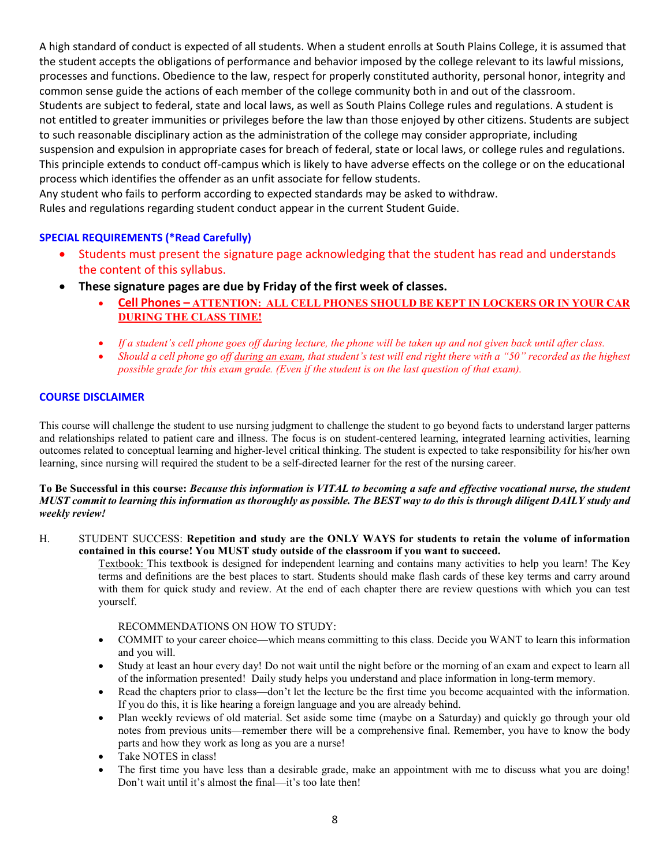A high standard of conduct is expected of all students. When a student enrolls at South Plains College, it is assumed that the student accepts the obligations of performance and behavior imposed by the college relevant to its lawful missions, processes and functions. Obedience to the law, respect for properly constituted authority, personal honor, integrity and common sense guide the actions of each member of the college community both in and out of the classroom. Students are subject to federal, state and local laws, as well as South Plains College rules and regulations. A student is not entitled to greater immunities or privileges before the law than those enjoyed by other citizens. Students are subject to such reasonable disciplinary action as the administration of the college may consider appropriate, including suspension and expulsion in appropriate cases for breach of federal, state or local laws, or college rules and regulations. This principle extends to conduct off-campus which is likely to have adverse effects on the college or on the educational process which identifies the offender as an unfit associate for fellow students.

Any student who fails to perform according to expected standards may be asked to withdraw. Rules and regulations regarding student conduct appear in the current Student Guide.

# **SPECIAL REQUIREMENTS (\*Read Carefully)**

- Students must present the signature page acknowledging that the student has read and understands the content of this syllabus.
	- **These signature pages are due by Friday of the first week of classes.**
		- **Cell Phones – ATTENTION: ALL CELL PHONES SHOULD BE KEPT IN LOCKERS OR IN YOUR CAR DURING THE CLASS TIME!**
		- *If a student's cell phone goes off during lecture, the phone will be taken up and not given back until after class.*
		- *Should a cell phone go off during an exam, that student's test will end right there with a "50" recorded as the highest possible grade for this exam grade. (Even if the student is on the last question of that exam).*

## **COURSE DISCLAIMER**

This course will challenge the student to use nursing judgment to challenge the student to go beyond facts to understand larger patterns and relationships related to patient care and illness. The focus is on student-centered learning, integrated learning activities, learning outcomes related to conceptual learning and higher-level critical thinking. The student is expected to take responsibility for his/her own learning, since nursing will required the student to be a self-directed learner for the rest of the nursing career.

#### **To Be Successful in this course:** *Because this information is VITAL to becoming a safe and effective vocational nurse, the student MUST commit to learning this information as thoroughly as possible. The BEST way to do this is through diligent DAILY study and weekly review!*

H. STUDENT SUCCESS: **Repetition and study are the ONLY WAYS for students to retain the volume of information contained in this course! You MUST study outside of the classroom if you want to succeed.** 

Textbook: This textbook is designed for independent learning and contains many activities to help you learn! The Key terms and definitions are the best places to start. Students should make flash cards of these key terms and carry around with them for quick study and review. At the end of each chapter there are review questions with which you can test yourself.

## RECOMMENDATIONS ON HOW TO STUDY:

- COMMIT to your career choice—which means committing to this class. Decide you WANT to learn this information and you will.
- Study at least an hour every day! Do not wait until the night before or the morning of an exam and expect to learn all of the information presented! Daily study helps you understand and place information in long-term memory.
- Read the chapters prior to class—don't let the lecture be the first time you become acquainted with the information. If you do this, it is like hearing a foreign language and you are already behind.
- Plan weekly reviews of old material. Set aside some time (maybe on a Saturday) and quickly go through your old notes from previous units—remember there will be a comprehensive final. Remember, you have to know the body parts and how they work as long as you are a nurse!
- Take NOTES in class!
- The first time you have less than a desirable grade, make an appointment with me to discuss what you are doing! Don't wait until it's almost the final—it's too late then!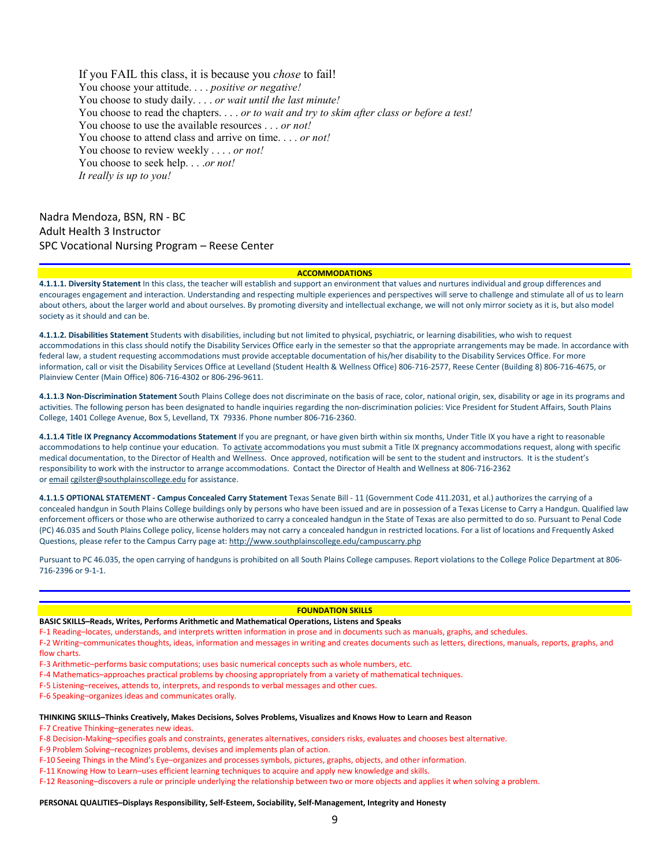If you FAIL this class, it is because you *chose* to fail! You choose your attitude. . . . *positive or negative!* You choose to study daily. . . . *or wait until the last minute!* You choose to read the chapters. . . . *or to wait and try to skim after class or before a test!* You choose to use the available resources . . . *or not!* You choose to attend class and arrive on time. . . . *or not!* You choose to review weekly . . . . *or not!* You choose to seek help. . . .*or not! It really is up to you!*

Nadra Mendoza, BSN, RN - BC Adult Health 3 Instructor SPC Vocational Nursing Program – Reese Center

#### **ACCOMMODATIONS**

**4.1.1.1. Diversity Statement** In this class, the teacher will establish and support an environment that values and nurtures individual and group differences and encourages engagement and interaction. Understanding and respecting multiple experiences and perspectives will serve to challenge and stimulate all of us to learn about others, about the larger world and about ourselves. By promoting diversity and intellectual exchange, we will not only mirror society as it is, but also model society as it should and can be.

**4.1.1.2. Disabilities Statement** Students with disabilities, including but not limited to physical, psychiatric, or learning disabilities, who wish to request accommodations in this class should notify the Disability Services Office early in the semester so that the appropriate arrangements may be made. In accordance with federal law, a student requesting accommodations must provide acceptable documentation of his/her disability to the Disability Services Office. For more information, call or visit the Disability Services Office at Levelland (Student Health & Wellness Office) 806-716-2577, Reese Center (Building 8) 806-716-4675, or Plainview Center (Main Office) 806-716-4302 or 806-296-9611.

**4.1.1.3 Non-Discrimination Statement** South Plains College does not discriminate on the basis of race, color, national origin, sex, disability or age in its programs and activities. The following person has been designated to handle inquiries regarding the non-discrimination policies: Vice President for Student Affairs, South Plains College, 1401 College Avenue, Box 5, Levelland, TX 79336. Phone number 806-716-2360.

**4.1.1.4 Title IX Pregnancy Accommodations Statement** If you are pregnant, or have given birth within six months, Under Title IX you have a right to reasonable accommodations to help continue your education. To [activate](http://www.southplainscollege.edu/employees/manualshandbooks/facultyhandbook/sec4.php) accommodations you must submit a Title IX pregnancy accommodations request, along with specific medical documentation, to the Director of Health and Wellness. Once approved, notification will be sent to the student and instructors. It is the student's responsibility to work with the instructor to arrange accommodations. Contact the Director of Health and Wellness at 806-716-2362 or [email](http://www.southplainscollege.edu/employees/manualshandbooks/facultyhandbook/sec4.php) [cgilster@southplainscollege.edu](mailto:cgilster@southplainscollege.edu) for assistance.

**4.1.1.5 OPTIONAL STATEMENT - Campus [Concealed Carry](http://www.southplainscollege.edu/employees/manualshandbooks/facultyhandbook/sec4.php) Statement** Texas Senate Bill - 11 (Government Code 411.2031, et al.) authorizes the carrying of a concealed handgun in South Plains College buildings only by persons who have been issued and are in possession of a Texas License to Carry a Handgun. Qualified law enforcement officers or those who are otherwise authorized to carry a concealed handgun in the State of Texas are also permitted to do so. Pursuant to Penal Code (PC) 46.035 and South Plains College policy, license holders may not carry a concealed handgun in restricted locations. For a list of locations and Frequently Asked Questions, please refer to the Campus Carry page at: <http://www.southplainscollege.edu/campuscarry.php>

Pursuant to PC 46.035, the open carrying of handguns is prohibited on all South Plains College campuses. Report violations to the College Police Department at 806- 716-2396 or 9-1-1.

#### **FOUNDATION SKILLS**

#### **BASIC SKILLS–Reads, Writes, Performs Arithmetic and Mathematical Operations, Listens and Speaks**

F-1 Reading–locates, understands, and interprets written information in prose and in documents such as manuals, graphs, and schedules.

- F-2 Writing–communicates thoughts, ideas, information and messages in writing and creates documents such as letters, directions, manuals, reports, graphs, and flow charts.
- F-3 Arithmetic–performs basic computations; uses basic numerical concepts such as whole numbers, etc.
- F-4 Mathematics–approaches practical problems by choosing appropriately from a variety of mathematical techniques.
- F-5 Listening–receives, attends to, interprets, and responds to verbal messages and other cues.
- F-6 Speaking–organizes ideas and communicates orally.

#### **THINKING SKILLS–Thinks Creatively, Makes Decisions, Solves Problems, Visualizes and Knows How to Learn and Reason**

- F-7 Creative Thinking–generates new ideas.
- F-8 Decision-Making–specifies goals and constraints, generates alternatives, considers risks, evaluates and chooses best alternative.
- F-9 Problem Solving–recognizes problems, devises and implements plan of action.
- F-10 Seeing Things in the Mind's Eye–organizes and processes symbols, pictures, graphs, objects, and other information.
- F-11 Knowing How to Learn–uses efficient learning techniques to acquire and apply new knowledge and skills.
- F-12 Reasoning–discovers a rule or principle underlying the relationship between two or more objects and applies it when solving a problem.

**PERSONAL QUALITIES–Displays Responsibility, Self-Esteem, Sociability, Self-Management, Integrity and Honesty**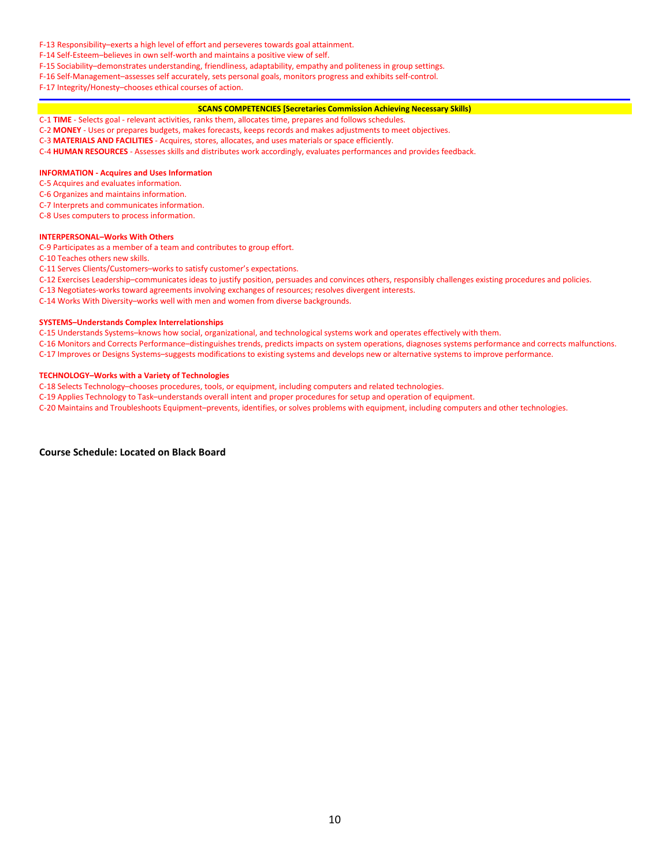- F-13 Responsibility–exerts a high level of effort and perseveres towards goal attainment.
- F-14 Self-Esteem–believes in own self-worth and maintains a positive view of self.
- F-15 Sociability–demonstrates understanding, friendliness, adaptability, empathy and politeness in group settings.
- F-16 Self-Management–assesses self accurately, sets personal goals, monitors progress and exhibits self-control.

F-17 Integrity/Honesty–chooses ethical courses of action.

#### **SCANS COMPETENCIES [Secretaries Commission Achieving Necessary Skills)**

- C-1 **TIME** Selects goal relevant activities, ranks them, allocates time, prepares and follows schedules.
- C-2 **MONEY** Uses or prepares budgets, makes forecasts, keeps records and makes adjustments to meet objectives.
- C-3 **MATERIALS AND FACILITIES** Acquires, stores, allocates, and uses materials or space efficiently.
- C-4 **HUMAN RESOURCES** Assesses skills and distributes work accordingly, evaluates performances and provides feedback.

#### **INFORMATION - Acquires and Uses Information**

C-5 Acquires and evaluates information.

C-6 Organizes and maintains information.

C-7 Interprets and communicates information.

C-8 Uses computers to process information.

#### **INTERPERSONAL–Works With Others**

C-9 Participates as a member of a team and contributes to group effort.

C-10 Teaches others new skills.

C-11 Serves Clients/Customers–works to satisfy customer's expectations.

- C-12 Exercises Leadership–communicates ideas to justify position, persuades and convinces others, responsibly challenges existing procedures and policies.
- C-13 Negotiates-works toward agreements involving exchanges of resources; resolves divergent interests.
- C-14 Works With Diversity–works well with men and women from diverse backgrounds.

#### **SYSTEMS–Understands Complex Interrelationships**

C-15 Understands Systems–knows how social, organizational, and technological systems work and operates effectively with them.

C-16 Monitors and Corrects Performance–distinguishes trends, predicts impacts on system operations, diagnoses systems performance and corrects malfunctions.

C-17 Improves or Designs Systems–suggests modifications to existing systems and develops new or alternative systems to improve performance.

#### **TECHNOLOGY–Works with a Variety of Technologies**

- C-18 Selects Technology–chooses procedures, tools, or equipment, including computers and related technologies.
- C-19 Applies Technology to Task–understands overall intent and proper procedures for setup and operation of equipment.
- C-20 Maintains and Troubleshoots Equipment–prevents, identifies, or solves problems with equipment, including computers and other technologies.

**Course Schedule: Located on Black Board**